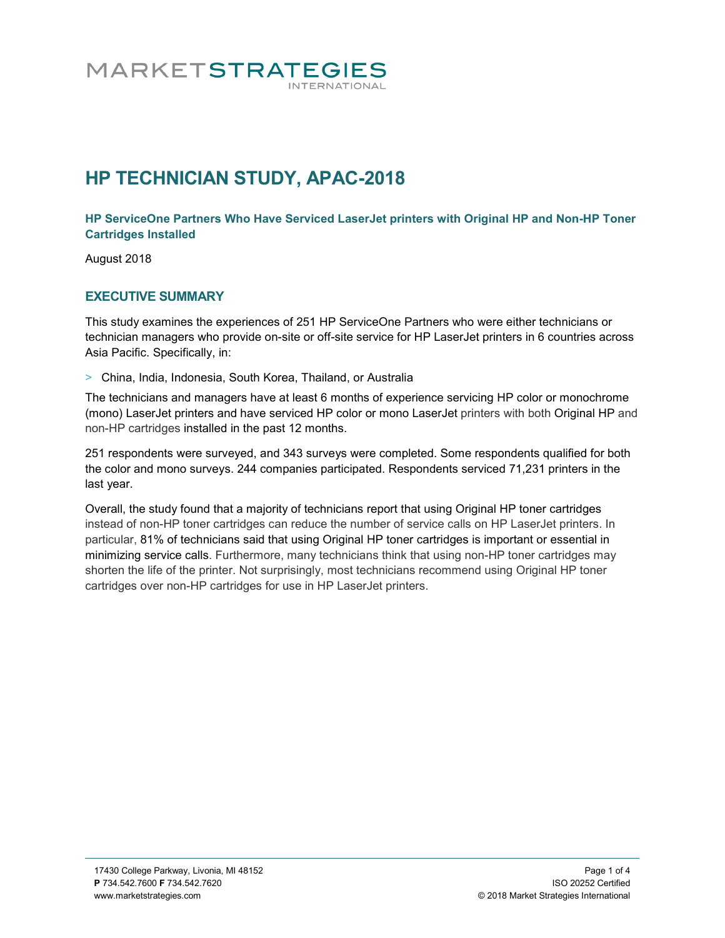# **MARKETSTRATEGIES** INTERNATIONAL

# **HP TECHNICIAN STUDY, APAC-2018**

**HP ServiceOne Partners Who Have Serviced LaserJet printers with Original HP and Non-HP Toner Cartridges Installed**

August 2018

# **EXECUTIVE SUMMARY**

This study examines the experiences of 251 HP ServiceOne Partners who were either technicians or technician managers who provide on-site or off-site service for HP LaserJet printers in 6 countries across Asia Pacific. Specifically, in:

> China, India, Indonesia, South Korea, Thailand, or Australia

The technicians and managers have at least 6 months of experience servicing HP color or monochrome (mono) LaserJet printers and have serviced HP color or mono LaserJet printers with both Original HP and non-HP cartridges installed in the past 12 months.

251 respondents were surveyed, and 343 surveys were completed. Some respondents qualified for both the color and mono surveys. 244 companies participated. Respondents serviced 71,231 printers in the last year.

Overall, the study found that a majority of technicians report that using Original HP toner cartridges instead of non-HP toner cartridges can reduce the number of service calls on HP LaserJet printers. In particular, 81% of technicians said that using Original HP toner cartridges is important or essential in minimizing service calls. Furthermore, many technicians think that using non-HP toner cartridges may shorten the life of the printer. Not surprisingly, most technicians recommend using Original HP toner cartridges over non-HP cartridges for use in HP LaserJet printers.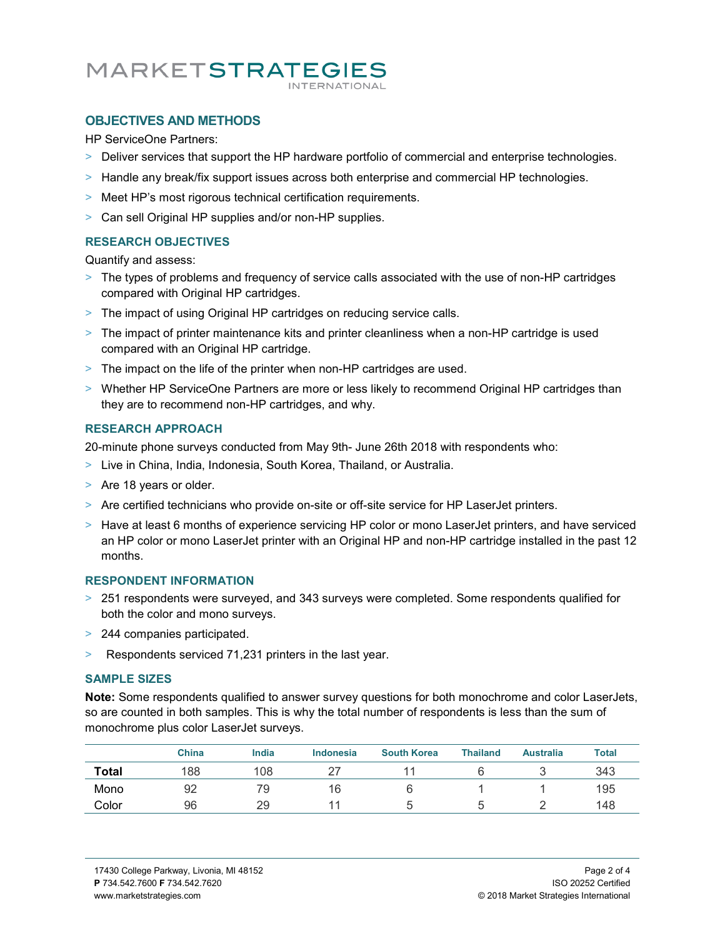# MARKETSTRATEGIES

# **OBJECTIVES AND METHODS**

HP ServiceOne Partners:

- > Deliver services that support the HP hardware portfolio of commercial and enterprise technologies.
- > Handle any break/fix support issues across both enterprise and commercial HP technologies.
- > Meet HP's most rigorous technical certification requirements.
- > Can sell Original HP supplies and/or non-HP supplies.

## **RESEARCH OBJECTIVES**

Quantify and assess:

- > The types of problems and frequency of service calls associated with the use of non-HP cartridges compared with Original HP cartridges.
- > The impact of using Original HP cartridges on reducing service calls.
- > The impact of printer maintenance kits and printer cleanliness when a non-HP cartridge is used compared with an Original HP cartridge.
- > The impact on the life of the printer when non-HP cartridges are used.
- > Whether HP ServiceOne Partners are more or less likely to recommend Original HP cartridges than they are to recommend non-HP cartridges, and why.

#### **RESEARCH APPROACH**

20-minute phone surveys conducted from May 9th- June 26th 2018 with respondents who:

- > Live in China, India, Indonesia, South Korea, Thailand, or Australia.
- > Are 18 years or older.
- > Are certified technicians who provide on-site or off-site service for HP LaserJet printers.
- > Have at least 6 months of experience servicing HP color or mono LaserJet printers, and have serviced an HP color or mono LaserJet printer with an Original HP and non-HP cartridge installed in the past 12 months.

#### **RESPONDENT INFORMATION**

- > 251 respondents were surveyed, and 343 surveys were completed. Some respondents qualified for both the color and mono surveys.
- > 244 companies participated.
- Respondents serviced 71,231 printers in the last year.

#### **SAMPLE SIZES**

**Note:** Some respondents qualified to answer survey questions for both monochrome and color LaserJets, so are counted in both samples. This is why the total number of respondents is less than the sum of monochrome plus color LaserJet surveys.

|       | <b>China</b> | India | <b>Indonesia</b> | <b>South Korea</b> | <b>Thailand</b> | <b>Australia</b> | <b>Total</b> |
|-------|--------------|-------|------------------|--------------------|-----------------|------------------|--------------|
| Total | 188          | 108   | <u>_</u>         |                    |                 |                  | 343          |
| Mono  | 92           | 79    | 16               |                    |                 |                  | 195          |
| Color | 96           | 29    |                  |                    |                 |                  | 148          |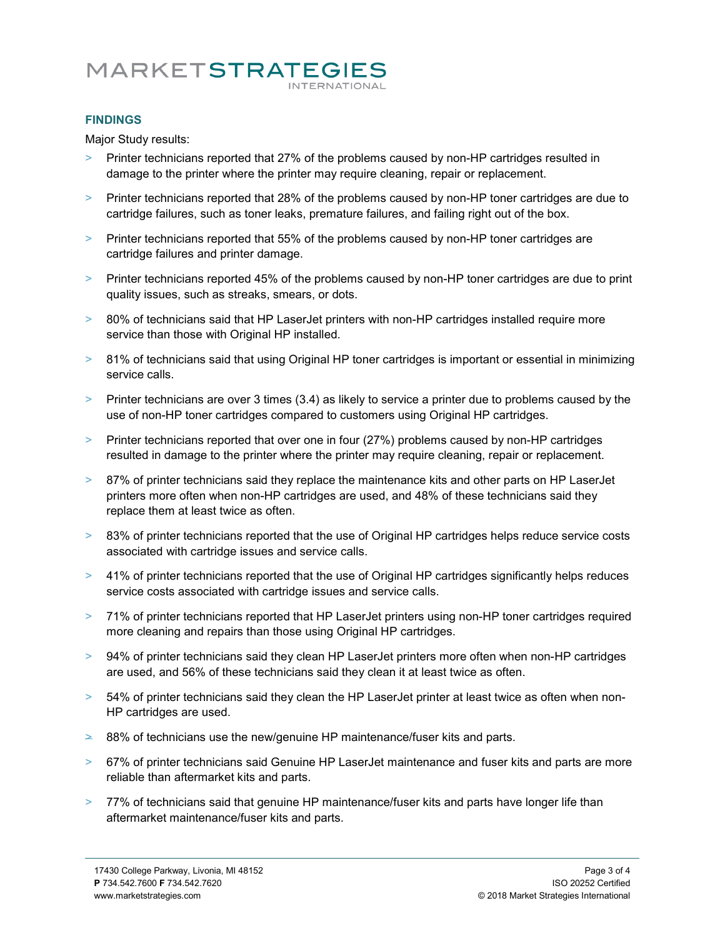# **MARKETSTRATEGIES UTERNATIONAL**

## **FINDINGS**

Major Study results:

- > Printer technicians reported that 27% of the problems caused by non-HP cartridges resulted in damage to the printer where the printer may require cleaning, repair or replacement.
- > Printer technicians reported that 28% of the problems caused by non-HP toner cartridges are due to cartridge failures, such as toner leaks, premature failures, and failing right out of the box.
- > Printer technicians reported that 55% of the problems caused by non-HP toner cartridges are cartridge failures and printer damage.
- > Printer technicians reported 45% of the problems caused by non-HP toner cartridges are due to print quality issues, such as streaks, smears, or dots.
- > 80% of technicians said that HP LaserJet printers with non-HP cartridges installed require more service than those with Original HP installed.
- > 81% of technicians said that using Original HP toner cartridges is important or essential in minimizing service calls.
- > Printer technicians are over 3 times (3.4) as likely to service a printer due to problems caused by the use of non-HP toner cartridges compared to customers using Original HP cartridges.
- > Printer technicians reported that over one in four (27%) problems caused by non-HP cartridges resulted in damage to the printer where the printer may require cleaning, repair or replacement.
- > 87% of printer technicians said they replace the maintenance kits and other parts on HP LaserJet printers more often when non-HP cartridges are used, and 48% of these technicians said they replace them at least twice as often.
- > 83% of printer technicians reported that the use of Original HP cartridges helps reduce service costs associated with cartridge issues and service calls.
- > 41% of printer technicians reported that the use of Original HP cartridges significantly helps reduces service costs associated with cartridge issues and service calls.
- > 71% of printer technicians reported that HP LaserJet printers using non-HP toner cartridges required more cleaning and repairs than those using Original HP cartridges.
- > 94% of printer technicians said they clean HP LaserJet printers more often when non-HP cartridges are used, and 56% of these technicians said they clean it at least twice as often.
- > 54% of printer technicians said they clean the HP LaserJet printer at least twice as often when non-HP cartridges are used.
- $\geq$  88% of technicians use the new/genuine HP maintenance/fuser kits and parts.
- > 67% of printer technicians said Genuine HP LaserJet maintenance and fuser kits and parts are more reliable than aftermarket kits and parts.
- > 77% of technicians said that genuine HP maintenance/fuser kits and parts have longer life than aftermarket maintenance/fuser kits and parts.